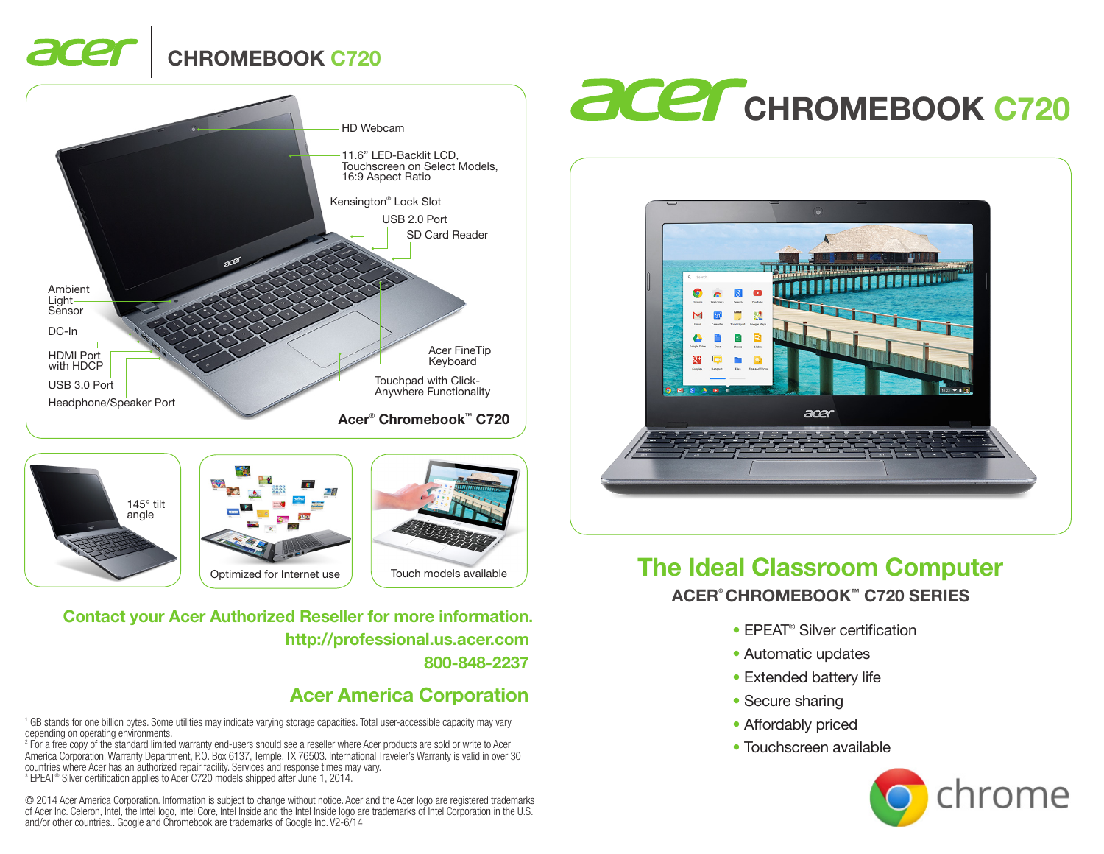# CHROMEBOOK C720









800-848-2237 http://professional.us.acer.com Contact your Acer Authorized Reseller for more information.

## Acer America Corporation

1 GB stands for one billion bytes. Some utilities may indicate varying storage capacities. Total user-accessible capacity may vary depending on operating environments.

2 For a free copy of the standard limited warranty end-users should see a reseller where Acer products are sold or write to Acer America Corporation, Warranty Department, P.O. Box 6137, Temple, TX 76503. International Traveler's Warranty is valid in over 30 countries where Acer has an authorized repair facility. Services and response times may vary. 3 EPEAT® Silver certification applies to Acer C720 models shipped after June 1, 2014.

© 2014 Acer America Corporation. Information is subject to change without notice. Acer and the Acer logo are registered trademarks of Acer Inc. Celeron, Intel, the Intel logo, Intel Core, Intel Inside and the Intel Inside logo are trademarks of Intel Corporation in the U.S. and/or other countries.. Google and Chromebook are trademarks of Google Inc. V2-6/14

# **acer** CHROMEBOOK C720



## The Ideal Classroom Computer ACER® CHROMEBOOK™ C720 SERIES

- **EPEAT<sup>®</sup> Silver certification**
- Automatic updates
- Extended battery life
- Secure sharing
- Affordably priced
- Touchscreen available